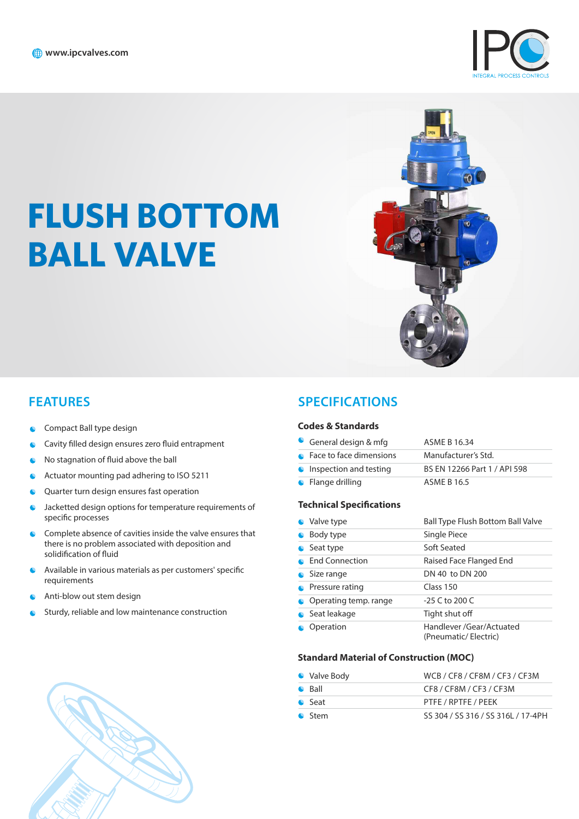

# **FLUSH BOTTOM BALL VALVE**



### **FEATURES**

- **C** Compact Ball type design
- **C** Cavity filled design ensures zero fluid entrapment
- $\bullet$  No stagnation of fluid above the ball
- · Actuator mounting pad adhering to ISO 5211
- **C** Quarter turn design ensures fast operation
- · Jacketted design options for temperature requirements of specific processes
- · Complete absence of cavities inside the valve ensures that there is no problem associated with deposition and solidification of fluid
- Available in various materials as per customers' specific  $\bullet$ requirements
- Anti-blow out stem design  $\bullet$
- Sturdy, reliable and low maintenance construction

## **SPECIFICATIONS**

#### **Codes & Standards**

| General design & mfg             | ASME B 16.34                 |
|----------------------------------|------------------------------|
| • Face to face dimensions        | Manufacturer's Std.          |
| $\bullet$ Inspection and testing | BS EN 12266 Part 1 / API 598 |
| $\bullet$ Flange drilling        | <b>ASME B 16.5</b>           |

#### **Technical Specifications**

| • Valve type              | Ball Type Flush Bottom Ball Valve                |
|---------------------------|--------------------------------------------------|
| • Body type               | Single Piece                                     |
| $\bullet$ Seat type       | Soft Seated                                      |
| • End Connection          | Raised Face Flanged End                          |
| • Size range              | DN 40 to DN 200                                  |
| $\bullet$ Pressure rating | Class 150                                        |
| • Operating temp. range   | $-25$ C to 200 C                                 |
| Seat leakage              | Tight shut off                                   |
| Operation                 | Handlever /Gear/Actuated<br>(Pneumatic/Electric) |

## **Standard Material of Construction MOC**

| • Valve Body   | WCB / CF8 / CF8M / CF3 / CF3M      |
|----------------|------------------------------------|
| $\bullet$ Ball | CF8 / CF8M / CF3 / CF3M            |
| $\bullet$ Seat | PTFE / RPTFE / PEEK                |
| <b>C</b> Stem  | SS 304 / SS 316 / SS 316L / 17-4PH |